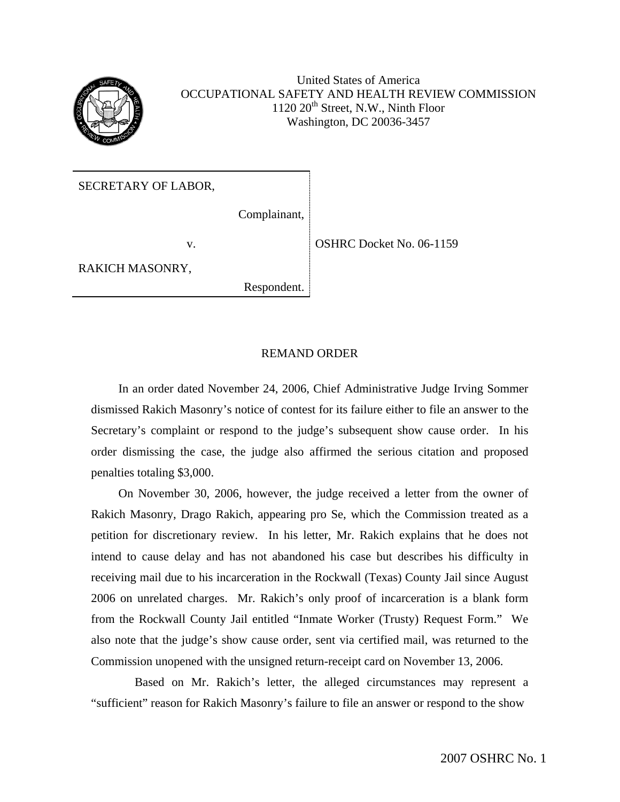

United States of America OCCUPATIONAL SAFETY AND HEALTH REVIEW COMMISSION  $1120 20<sup>th</sup>$  Street, N.W., Ninth Floor Washington, DC 20036-3457

SECRETARY OF LABOR,

Complainant,

RAKICH MASONRY,

Respondent.

v. COSHRC Docket No. 06-1159

## REMAND ORDER

In an order dated November 24, 2006, Chief Administrative Judge Irving Sommer dismissed Rakich Masonry's notice of contest for its failure either to file an answer to the Secretary's complaint or respond to the judge's subsequent show cause order. In his order dismissing the case, the judge also affirmed the serious citation and proposed penalties totaling \$3,000.

On November 30, 2006, however, the judge received a letter from the owner of Rakich Masonry, Drago Rakich, appearing pro Se, which the Commission treated as a petition for discretionary review. In his letter, Mr. Rakich explains that he does not intend to cause delay and has not abandoned his case but describes his difficulty in receiving mail due to his incarceration in the Rockwall (Texas) County Jail since August 2006 on unrelated charges. Mr. Rakich's only proof of incarceration is a blank form from the Rockwall County Jail entitled "Inmate Worker (Trusty) Request Form." We also note that the judge's show cause order, sent via certified mail, was returned to the Commission unopened with the unsigned return-receipt card on November 13, 2006.

Based on Mr. Rakich's letter, the alleged circumstances may represent a "sufficient" reason for Rakich Masonry's failure to file an answer or respond to the show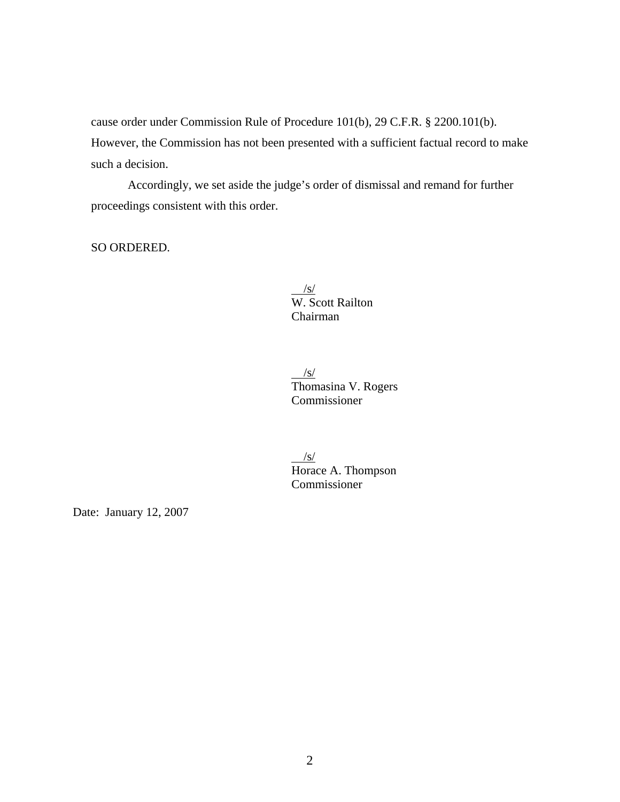cause order under Commission Rule of Procedure 101(b), 29 C.F.R. § 2200.101(b). However, the Commission has not been presented with a sufficient factual record to make such a decision.

Accordingly, we set aside the judge's order of dismissal and remand for further proceedings consistent with this order.

SO ORDERED.

 $\frac{|S|}{|S|}$ W. Scott Railton Chairman

 $\sqrt{s/2}$ Thomasina V. Rogers Commissioner

 /s/ Horace A. Thompson Commissioner

Date: January 12, 2007